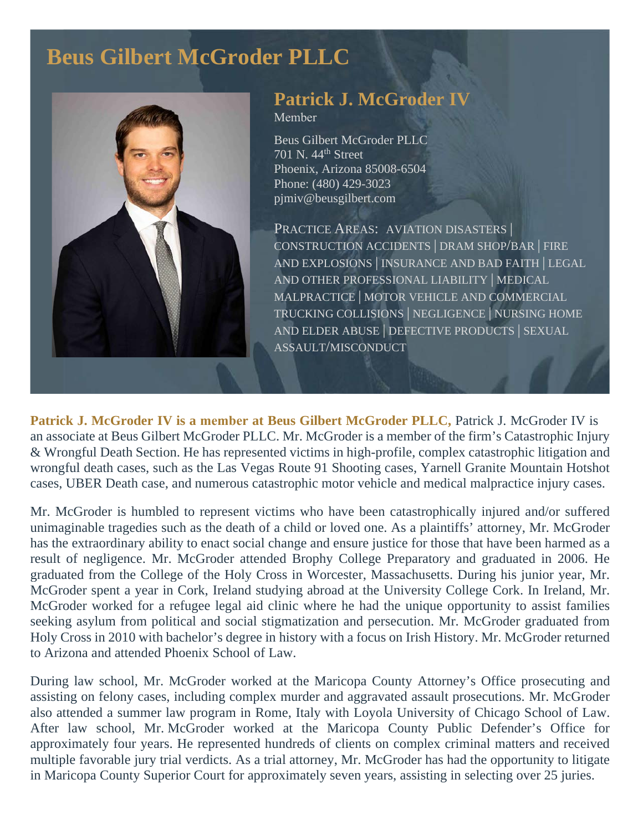# **Beus Gilbert McGroder PLLC**



# **Patrick J. McGroder IV**

Member

Beus Gilbert McGroder PLLC 701 N. 44<sup>th</sup> Street Phoenix, Arizona 85008-6504 Phone: (480) 429-3023 pjmiv@beusgilbert.com

PRACTICE AREAS: AVIATION DISASTERS CONSTRUCTION ACCIDENTS | DRAM SHOP/BAR | FIRE AND EXPLOSIONS | INSURANCE AND BAD FAITH | LEGAL AND OTHER PROFESSIONAL LIABILITY | MEDICAL MALPRACTICE | MOTOR VEHICLE AND COMMERCIAL TRUCKING COLLISIONS | NEGLIGENCE | NURSING HOME AND ELDER ABUSE | DEFECTIVE PRODUCTS | SEXUAL ASSAULT/MISCONDUCT

**Patrick J. McGroder IV is a member at Beus Gilbert McGroder PLLC,** Patrick J. McGroder IV is an associate at Beus Gilbert McGroder PLLC. Mr. McGroder is a member of the firm's Catastrophic Injury & Wrongful Death Section. He has represented victims in high-profile, complex catastrophic litigation and wrongful death cases, such as the Las Vegas Route 91 Shooting cases, Yarnell Granite Mountain Hotshot cases, UBER Death case, and numerous catastrophic motor vehicle and medical malpractice injury cases.

Mr. McGroder is humbled to represent victims who have been catastrophically injured and/or suffered unimaginable tragedies such as the death of a child or loved one. As a plaintiffs' attorney, Mr. McGroder has the extraordinary ability to enact social change and ensure justice for those that have been harmed as a result of negligence. Mr. McGroder attended Brophy College Preparatory and graduated in 2006. He graduated from the College of the Holy Cross in Worcester, Massachusetts. During his junior year, Mr. McGroder spent a year in Cork, Ireland studying abroad at the University College Cork. In Ireland, Mr. McGroder worked for a refugee legal aid clinic where he had the unique opportunity to assist families seeking asylum from political and social stigmatization and persecution. Mr. McGroder graduated from Holy Cross in 2010 with bachelor's degree in history with a focus on Irish History. Mr. McGroder returned to Arizona and attended Phoenix School of Law.

During law school, Mr. McGroder worked at the Maricopa County Attorney's Office prosecuting and assisting on felony cases, including complex murder and aggravated assault prosecutions. Mr. McGroder also attended a summer law program in Rome, Italy with Loyola University of Chicago School of Law. After law school, Mr. McGroder worked at the Maricopa County Public Defender's Office for approximately four years. He represented hundreds of clients on complex criminal matters and received multiple favorable jury trial verdicts. As a trial attorney, Mr. McGroder has had the opportunity to litigate in Maricopa County Superior Court for approximately seven years, assisting in selecting over 25 juries.